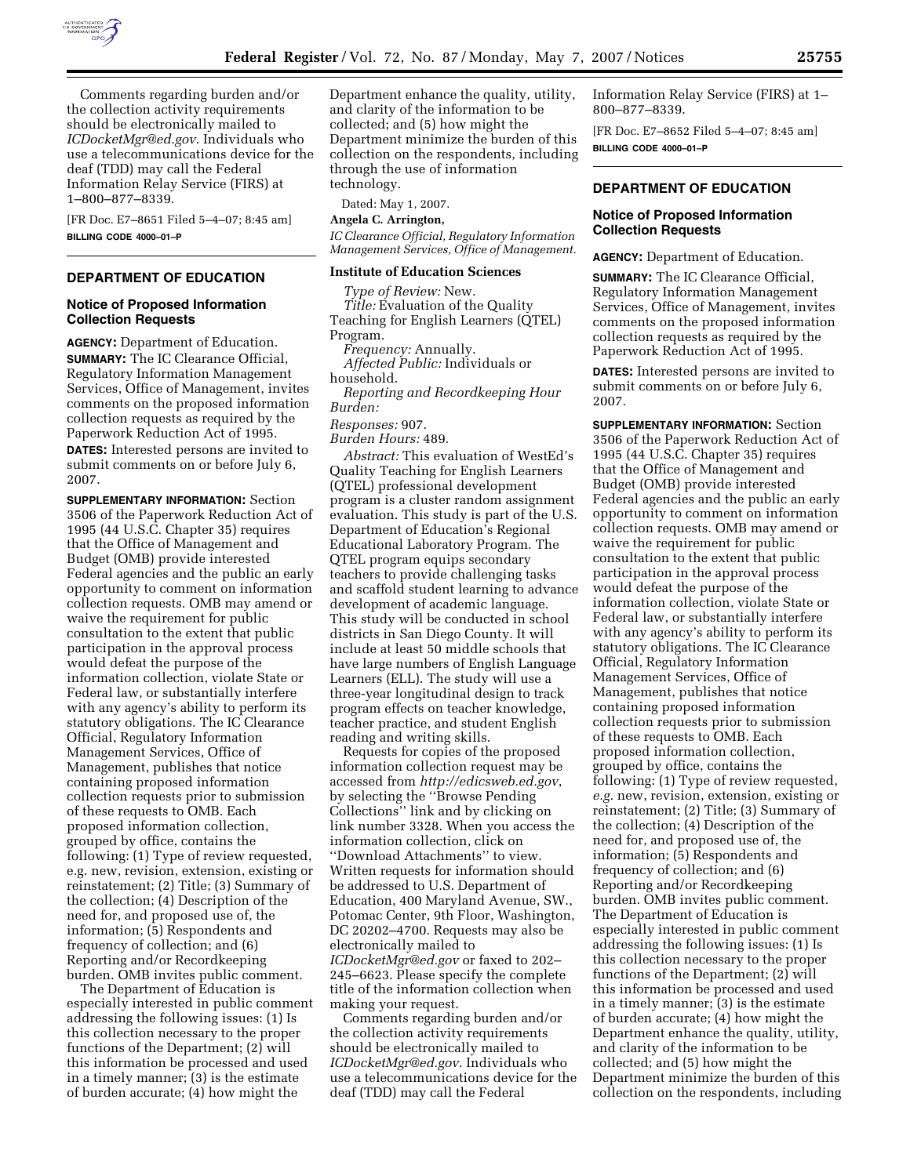

Comments regarding burden and/or the collection activity requirements should be electronically mailed to *ICDocketMgr@ed.gov*. Individuals who use a telecommunications device for the deaf (TDD) may call the Federal Information Relay Service (FIRS) at 1–800–877–8339.

[FR Doc. E7–8651 Filed 5–4–07; 8:45 am] **BILLING CODE 4000–01–P** 

# **DEPARTMENT OF EDUCATION**

## **Notice of Proposed Information Collection Requests**

**AGENCY:** Department of Education.

**SUMMARY:** The IC Clearance Official, Regulatory Information Management Services, Office of Management, invites comments on the proposed information collection requests as required by the Paperwork Reduction Act of 1995.

**DATES:** Interested persons are invited to submit comments on or before July 6, 2007.

**SUPPLEMENTARY INFORMATION:** Section 3506 of the Paperwork Reduction Act of 1995 (44 U.S.C. Chapter 35) requires that the Office of Management and Budget (OMB) provide interested Federal agencies and the public an early opportunity to comment on information collection requests. OMB may amend or waive the requirement for public consultation to the extent that public participation in the approval process would defeat the purpose of the information collection, violate State or Federal law, or substantially interfere with any agency's ability to perform its statutory obligations. The IC Clearance Official, Regulatory Information Management Services, Office of Management, publishes that notice containing proposed information collection requests prior to submission of these requests to OMB. Each proposed information collection, grouped by office, contains the following: (1) Type of review requested, e.g. new, revision, extension, existing or reinstatement; (2) Title; (3) Summary of the collection; (4) Description of the need for, and proposed use of, the information; (5) Respondents and frequency of collection; and (6) Reporting and/or Recordkeeping burden. OMB invites public comment.

The Department of Education is especially interested in public comment addressing the following issues: (1) Is this collection necessary to the proper functions of the Department; (2) will this information be processed and used in a timely manner; (3) is the estimate of burden accurate; (4) how might the

Department enhance the quality, utility, and clarity of the information to be collected; and (5) how might the Department minimize the burden of this collection on the respondents, including through the use of information technology.

Dated: May 1, 2007.

**Angela C. Arrington,** 

*IC Clearance Official, Regulatory Information Management Services, Office of Management.* 

#### **Institute of Education Sciences**

*Type of Review:* New. *Title:* Evaluation of the Quality Teaching for English Learners (QTEL) Program.

*Frequency:* Annually.

*Affected Public:* Individuals or household.

*Reporting and Recordkeeping Hour Burden:* 

## *Responses:* 907.

*Burden Hours:* 489.

*Abstract:* This evaluation of WestEd's Quality Teaching for English Learners (QTEL) professional development program is a cluster random assignment evaluation. This study is part of the U.S. Department of Education's Regional Educational Laboratory Program. The QTEL program equips secondary teachers to provide challenging tasks and scaffold student learning to advance development of academic language. This study will be conducted in school districts in San Diego County. It will include at least 50 middle schools that have large numbers of English Language Learners (ELL). The study will use a three-year longitudinal design to track program effects on teacher knowledge, teacher practice, and student English reading and writing skills.

Requests for copies of the proposed information collection request may be accessed from *http://edicsweb.ed.gov*, by selecting the ''Browse Pending Collections'' link and by clicking on link number 3328. When you access the information collection, click on ''Download Attachments'' to view. Written requests for information should be addressed to U.S. Department of Education, 400 Maryland Avenue, SW., Potomac Center, 9th Floor, Washington, DC 20202–4700. Requests may also be electronically mailed to *ICDocketMgr@ed.gov* or faxed to 202– 245–6623. Please specify the complete title of the information collection when making your request.

Comments regarding burden and/or the collection activity requirements should be electronically mailed to *ICDocketMgr@ed.gov*. Individuals who use a telecommunications device for the deaf (TDD) may call the Federal

Information Relay Service (FIRS) at 1– 800–877–8339.

[FR Doc. E7–8652 Filed 5–4–07; 8:45 am] **BILLING CODE 4000–01–P** 

#### **DEPARTMENT OF EDUCATION**

### **Notice of Proposed Information Collection Requests**

**AGENCY:** Department of Education.

**SUMMARY:** The IC Clearance Official, Regulatory Information Management Services, Office of Management, invites comments on the proposed information collection requests as required by the Paperwork Reduction Act of 1995.

**DATES:** Interested persons are invited to submit comments on or before July 6, 2007.

**SUPPLEMENTARY INFORMATION:** Section 3506 of the Paperwork Reduction Act of 1995 (44 U.S.C. Chapter 35) requires that the Office of Management and Budget (OMB) provide interested Federal agencies and the public an early opportunity to comment on information collection requests. OMB may amend or waive the requirement for public consultation to the extent that public participation in the approval process would defeat the purpose of the information collection, violate State or Federal law, or substantially interfere with any agency's ability to perform its statutory obligations. The IC Clearance Official, Regulatory Information Management Services, Office of Management, publishes that notice containing proposed information collection requests prior to submission of these requests to OMB. Each proposed information collection, grouped by office, contains the following: (1) Type of review requested, *e.g.* new, revision, extension, existing or reinstatement; (2) Title; (3) Summary of the collection; (4) Description of the need for, and proposed use of, the information; (5) Respondents and frequency of collection; and (6) Reporting and/or Recordkeeping burden. OMB invites public comment. The Department of Education is especially interested in public comment addressing the following issues: (1) Is this collection necessary to the proper functions of the Department; (2) will this information be processed and used in a timely manner; (3) is the estimate of burden accurate; (4) how might the Department enhance the quality, utility, and clarity of the information to be collected; and (5) how might the Department minimize the burden of this collection on the respondents, including